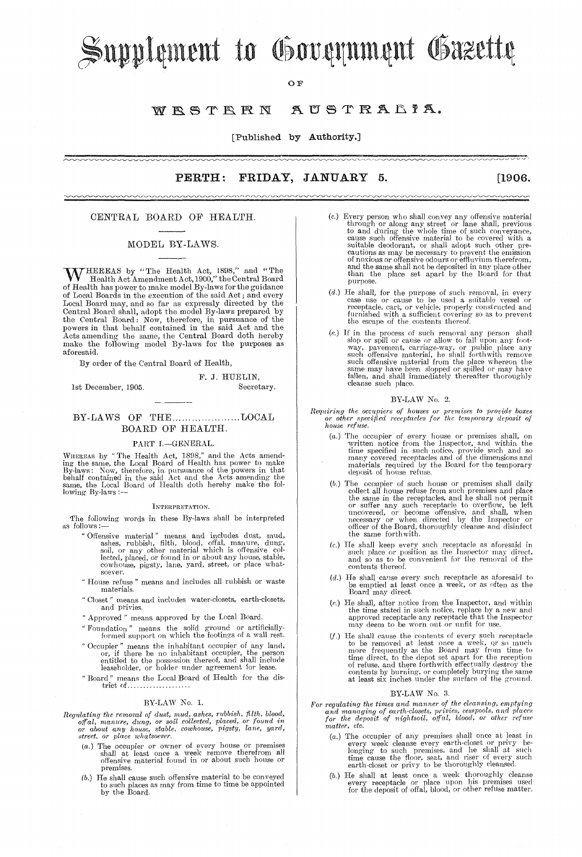# Supplement to Government Gazette

OЕ

#### WESTERN AUSTRALIA.

[Published by Authority.]

**PERTH:** FRIDAY, JANUARY 5. <u>mnnnnnnnnnnnnn</u>

#### $[1906]$

#### CENTRAL BOARD OF HEALTH.

~~~~~~~~~~~~~~~~~~~~

#### MODEL BY-LAWS.

W HEREAS by "The Health Act, 1898," and "The Health Act Amendment Act, 1900," the Central Board of Health has power to make model By-laws for the guidance of Local Boards in the execution of the said Act; and every or Local Board may, and so far as expressly directed by the Central Board may, and so far as expressly directed by the Central Board shall, adopt the model By-laws prepared by the Central Board : Now, therefore, in pursuan aforesaid.

By order of the Central Board of Health,

### 1st December, 1905.

#### Secretary.

F. J. HUELIN,

#### BY-LAWS OF THE....................LOCAL BOARD OF HEALTH.

#### PART I .- GENERAL.

WHEREAS by "The Health Act, 1898," and the Acts amend-<br>ing the same, the Local Board of Health has power to make<br>By-laws: Now, therefore, in pursuance of the powers in that<br>behalf contained in the said Act and the Acts ame lowing By-laws :--

#### INTERPRETATION.

The following words in these By-laws shall be interpreted as follows:

- "Offensive material" means and includes dust, mud,<br>shes, rubbish, filth, blood, offal, manure, dung,<br>soil, or any other material which is offensive col-<br>lected, placed, or found in or about any house, stable,
- cowhouse, pigsty, lane, yard, street, or place whatsoever. "House refuse" means and includes all rubbish or waste
- materials.
- "Closet" means and includes water-closets, earth-closets, and privies.
- " Approved " means approved by the Local Board.
- $\emph{``Foundation'' means the solid ground or artificially-formed support on which the footings of a wall rest.}$
- means the inhabitant occupier of any land, " Occupier " upler means the maintaint occupier o any land,<br>or, if there be no inhabitant occupier, the person<br>entitled to the possession thereof, and shall include<br>leaseholder, or holder under agreement for lease.
- "Board" means the Local Board of Health for the district of.................

#### BY-LAW No. 1.

- Regulating the removal of dust, mud, ashes, rubbish, filth, blood, off al, manure, dung, or soil collected, placed, or found in or about any house, stable, cowhouse, pigsty, lane, yard, street, or place whatsoever.
	- ( $a$ .) The occupier or owner of every house or premises shall at least once a week remove therefrom all offensive material found in or about such house or premises.
	- (b.) He shall cause such offensive material to be conveyed to such places as may from time to time be appointed<br>by the Board.

(c.) Every person who shall convey any offensive material<br>through or along any street or lane shall, previous<br>to and during the whole time of such conveyance,<br>cause such offensive material to be covered with a<br>suitable de

nnnnnnnnnn

- ( $d$ .) He shall, for the purpose of such removal, in every case use or cause to be used a suitable vessel or receptacle, cart, or vehicle, properly constructed and furnished with a sufficient covering so as to prevent the
- (e.) If in the process of such removal any person shall<br>slop or spill or cause or allow to fall upon any foot-<br>way, pavement, carriage-way, or public place any<br>such offensive material, he shall forthwith remove<br>such offen

#### BY-LAW No. 2.

Requiring the occupiers of houses or premises to provide boxes<br>or other specified receptacles for the temporary deposit of<br>house refuse.

- (a.) The occupier of every house or premises shall, on written notice from the Inspector, and within the time specified in such notice, provide such and so many covered receptacles and of the dimensions and materials requ
- (b.) The occupier of such house or premises shall daily The occupier of such nouse or premises snal daily<br>collect all house refuse from such premises and place<br>the same in the receptacles, and he shall not permit<br>or suffer any such receptacle to overflow, be left<br>uncovered, or the same forthwith.
- (c.) He shall keep every such receptacle as a<br>foresaid in such place or position as the Inspector may direct, and so as to be convenient for the removal of the contents thereof.
- ( $d$ .) He shall cause every such receptacle as a<br>foresaid to be emptied at least once a week, or as often as the Board may direct.
- (e.) He shall, after notice from the Inspector, and within the time stated in such notice, replace by a new and<br>approved receptacle any receptacle that the Inspector may deem to be worn out or unfit for use.
- (f.) He shall cause the contents of every such receptacle<br>to be removed at least once a week, or so much<br>more frequently as the Board may from time to<br>time direct, to the depot set apart for the reception<br>of refuse, and t

#### BY-LAW No. 3.

- $\label{thm:main} For\, regulating\,\,the\,\,times\,\,and\,\,manner\,\,of\,\,the\,\,cleaning,\,emptying\,\,and\,\,managing\,\,of\,\,earth-closests,\,privies,\,cesspools,\,and\,\,place\,\,for\,\,the\,\,deeposit\,\,of\,\,nightsoil,\,\,offal,\,\,blood,\,\,or\,\,other\,\,refuse\,\,of\,\,in\,\,the\,\,deeposit\,\,of\,\,nightsoil,\,\,offal,\,\,blood,\,\,or\,\,other\,\,refuse\,\,of\,\,in\,\,the\,\,deeposit\,\,of\,\,right\}.$ matter, etc.
	- ( $a$ .) The occupier of any premises shall once at least in every week cleanse every earth-closet or privy belonging to such premises, and he shall at such time cause the floor, seat, and riser of every such earth-closet o
	- ( $b$ .) He shall at least once a week thoroughly cleanse every receptacle or place upon his premises used for the deposit of offal, blood, or other refuse matter.